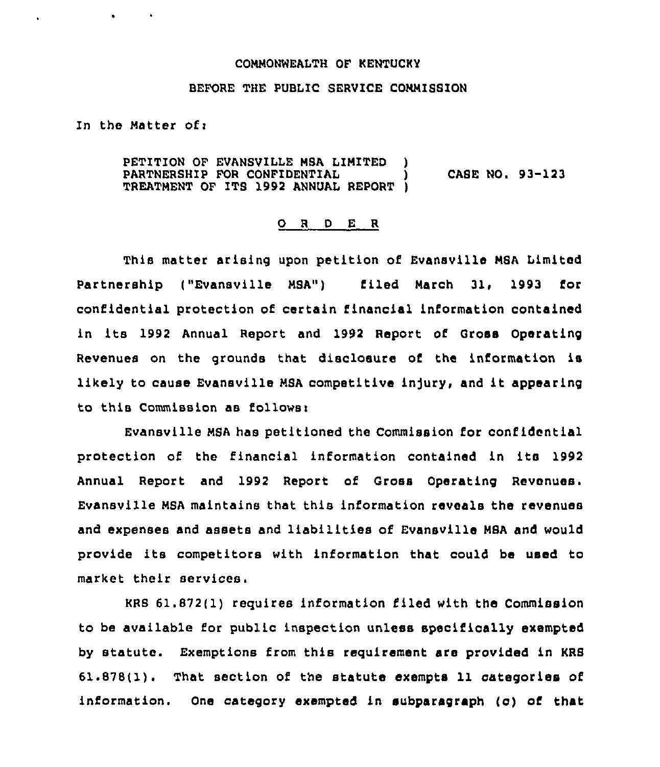## CONNONWEAITH OF KENTUCKY

## BEFORE THE PUBLIC SERVICE CONNIBSION

In the Natter ofi

 $\bullet$ 

PETITION OF EVANSVILLE NBA LINITED ) PARTNERSHIP FOR CONFIDENTIAL  $\qquad \qquad$  CABE NO. 93-123 TREATNENT OF ITS 1992 ANNUAL REPORT )

## 0 <sup>R</sup> <sup>D</sup> E R

This matter arising upon petition of Evansville NSA Limited Partnership ("Evansville MSA") filed March 31, 1993 for confidential protection of certain financial information contained in its 1992 Annual Report and 1992 Report of Gross Operating Revenues on the grounds that disclosure of the information is likely to cause Evansville MSA competitive injury, and it appearing to this Commission as follows>

Evansville MSA has petitioned the Commission for confidential protection of the financial information contained in its 1992 Annual Report and 1992 Report of Gross Operating Revenues. Evansville MSA maintains that this information reveals the revenues and expenses and assets and liabilities of Evansville MSA and would provide its competitors with information that could be used to market their services.

KRB 61.872(1) requires information filed with the Commission to be available for public inspection unless specifically exempted by statute. Exemptions from this requirement are provided in KRB 61.878(1). That section of the statute exempts 11 categories of information. One category exempted in subparagraph (c) of that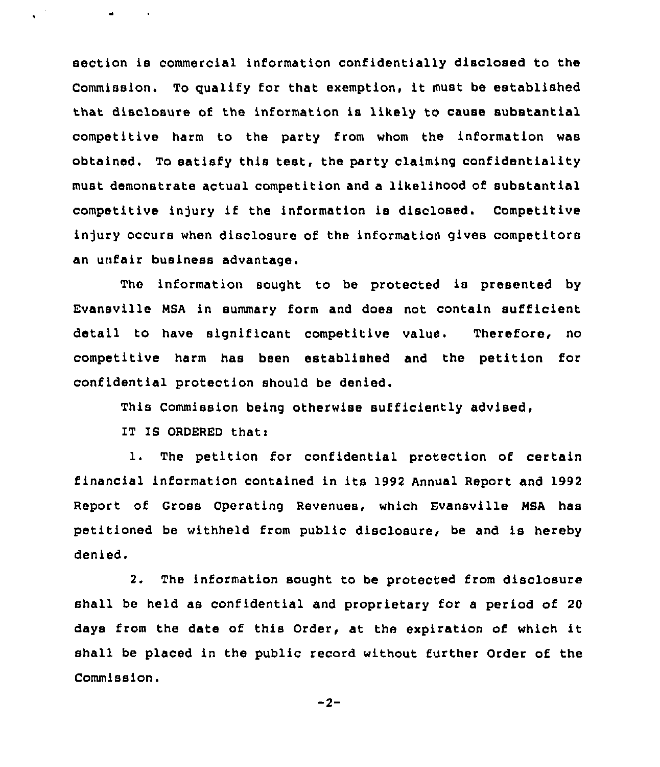section is commercial information confidentially disclosed to the Commission. To qualify for that exemption, it must be established that disclosure of the information is likely to cause substantial competitive harm to the party from whom the information was obtained. To satisfy this test, the party claiming confidentiality must demonstrate actual competition and a likelihood of substantial competitive injury if the information is disclosed. Competitive injury occurs when disclosure of the information gives competitors an unfair business advantage.

The information sought to be protected is presented by Evansville MSA in summary form and does not contain sufficient detail to have significant competitive value. Therefore, no competitive harm has been established and the petition for confidential protection should be denied.

This Commission being otherwise sufficiently advised,

IT IS ORDERED that:

 $\mathcal{L}^{(1)}$ 

 $\bullet$  . <br> <br> <br> <br> <br> <br> <br> <br> <br><br><br><br><br><br>

1. The petition for confidential protection of certain financial information contained in its 1992 Annual Report and 1992 Report of Gross Operating Revenues, which Evansville MSA has petitioned be withheld from public disclosure, be and is hereby denied.

2. The information sought to be protected from disclosure shall be held as confidential and proprietary for a period of 20 days from the date of this Order, at the expiration of which it shall be placed in the public record without further Order of the Commission.

 $-2-$